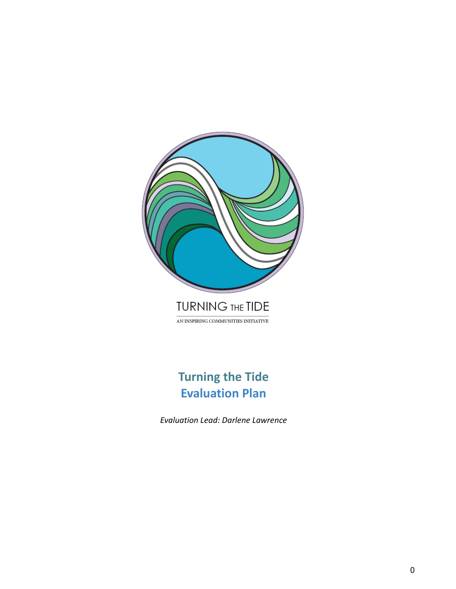

# **Turning the Tide Evaluation Plan**

*Evaluation Lead: Darlene Lawrence*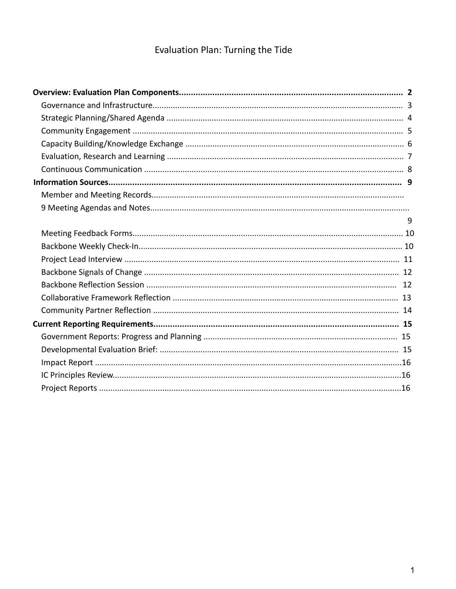# Evaluation Plan: Turning the Tide

| 9 |  |
|---|--|
|   |  |
|   |  |
|   |  |
|   |  |
|   |  |
|   |  |
|   |  |
|   |  |
|   |  |
|   |  |
|   |  |
|   |  |
|   |  |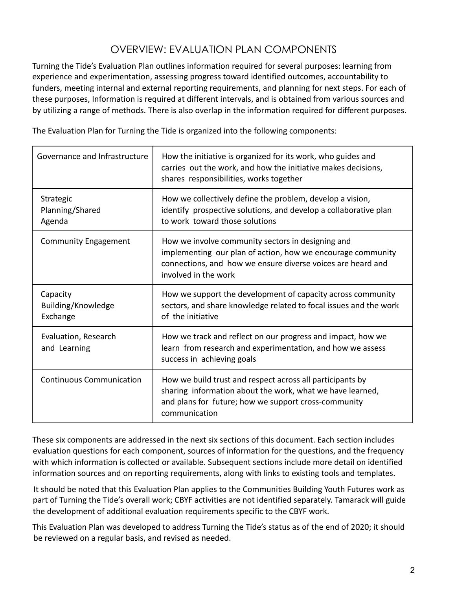# OVERVIEW: EVALUATION PLAN COMPONENTS

Turning the Tide's Evaluation Plan outlines information required for several purposes: learning from experience and experimentation, assessing progress toward identified outcomes, accountability to funders, meeting internal and external reporting requirements, and planning for next steps. For each of these purposes, Information is required at different intervals, and is obtained from various sources and by utilizing a range of methods. There is also overlap in the information required for different purposes.

The Evaluation Plan for Turning the Tide is organized into the following components:

| Governance and Infrastructure              | How the initiative is organized for its work, who guides and<br>carries out the work, and how the initiative makes decisions,<br>shares responsibilities, works together                                |
|--------------------------------------------|---------------------------------------------------------------------------------------------------------------------------------------------------------------------------------------------------------|
| Strategic<br>Planning/Shared<br>Agenda     | How we collectively define the problem, develop a vision,<br>identify prospective solutions, and develop a collaborative plan<br>to work toward those solutions                                         |
| <b>Community Engagement</b>                | How we involve community sectors in designing and<br>implementing our plan of action, how we encourage community<br>connections, and how we ensure diverse voices are heard and<br>involved in the work |
| Capacity<br>Building/Knowledge<br>Exchange | How we support the development of capacity across community<br>sectors, and share knowledge related to focal issues and the work<br>of the initiative                                                   |
| Evaluation, Research<br>and Learning       | How we track and reflect on our progress and impact, how we<br>learn from research and experimentation, and how we assess<br>success in achieving goals                                                 |
| <b>Continuous Communication</b>            | How we build trust and respect across all participants by<br>sharing information about the work, what we have learned,<br>and plans for future; how we support cross-community<br>communication         |

These six components are addressed in the next six sections of this document. Each section includes evaluation questions for each component, sources of information for the questions, and the frequency with which information is collected or available. Subsequent sections include more detail on identified information sources and on reporting requirements, along with links to existing tools and templates.

It should be noted that this Evaluation Plan applies to the Communities Building Youth Futures work as part of Turning the Tide's overall work; CBYF activities are not identified separately. Tamarack will guide the development of additional evaluation requirements specific to the CBYF work.

This Evaluation Plan was developed to address Turning the Tide's status as of the end of 2020; it should be reviewed on a regular basis, and revised as needed.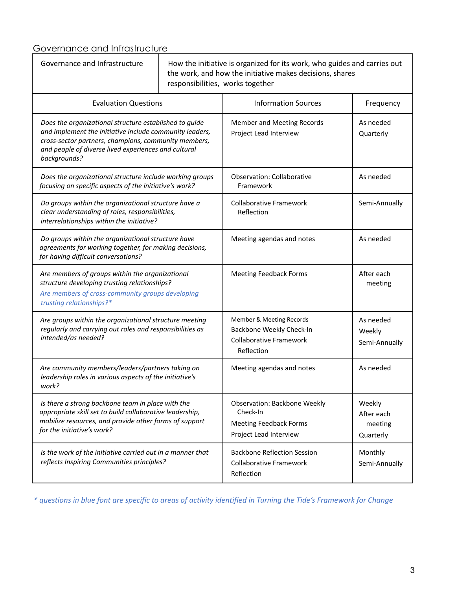# Governance and Infrastructure

| Governance and Infrastructure                                                                                                                                                                                                                     | How the initiative is organized for its work, who guides and carries out<br>the work, and how the initiative makes decisions, shares<br>responsibilities, works together |                                                                                                            |                                              |
|---------------------------------------------------------------------------------------------------------------------------------------------------------------------------------------------------------------------------------------------------|--------------------------------------------------------------------------------------------------------------------------------------------------------------------------|------------------------------------------------------------------------------------------------------------|----------------------------------------------|
| <b>Evaluation Questions</b>                                                                                                                                                                                                                       |                                                                                                                                                                          | <b>Information Sources</b>                                                                                 | Frequency                                    |
| Does the organizational structure established to guide<br>and implement the initiative include community leaders,<br>cross-sector partners, champions, community members,<br>and people of diverse lived experiences and cultural<br>backgrounds? |                                                                                                                                                                          | Member and Meeting Records<br>Project Lead Interview                                                       | As needed<br>Quarterly                       |
| Does the organizational structure include working groups<br>focusing on specific aspects of the initiative's work?                                                                                                                                |                                                                                                                                                                          | <b>Observation: Collaborative</b><br>Framework                                                             | As needed                                    |
| Do groups within the organizational structure have a<br>clear understanding of roles, responsibilities,<br>interrelationships within the initiative?                                                                                              |                                                                                                                                                                          | <b>Collaborative Framework</b><br>Reflection                                                               | Semi-Annually                                |
| Do groups within the organizational structure have<br>agreements for working together, for making decisions,<br>for having difficult conversations?                                                                                               |                                                                                                                                                                          | Meeting agendas and notes                                                                                  | As needed                                    |
| Are members of groups within the organizational<br>structure developing trusting relationships?<br>Are members of cross-community groups developing<br>trusting relationships?*                                                                   |                                                                                                                                                                          | <b>Meeting Feedback Forms</b>                                                                              | After each<br>meeting                        |
| Are groups within the organizational structure meeting<br>regularly and carrying out roles and responsibilities as<br>intended/as needed?                                                                                                         |                                                                                                                                                                          | Member & Meeting Records<br>Backbone Weekly Check-In<br><b>Collaborative Framework</b><br>Reflection       | As needed<br>Weekly<br>Semi-Annually         |
| Are community members/leaders/partners taking on<br>leadership roles in various aspects of the initiative's<br>work?                                                                                                                              |                                                                                                                                                                          | Meeting agendas and notes                                                                                  | As needed                                    |
| Is there a strong backbone team in place with the<br>appropriate skill set to build collaborative leadership,<br>mobilize resources, and provide other forms of support<br>for the initiative's work?                                             |                                                                                                                                                                          | <b>Observation: Backbone Weekly</b><br>Check-In<br><b>Meeting Feedback Forms</b><br>Project Lead Interview | Weekly<br>After each<br>meeting<br>Quarterly |
| Is the work of the initiative carried out in a manner that<br>reflects Inspiring Communities principles?                                                                                                                                          |                                                                                                                                                                          | <b>Backbone Reflection Session</b><br><b>Collaborative Framework</b><br>Reflection                         | Monthly<br>Semi-Annually                     |

\* questions in blue font are specific to areas of activity identified in Turning the Tide's Framework for Change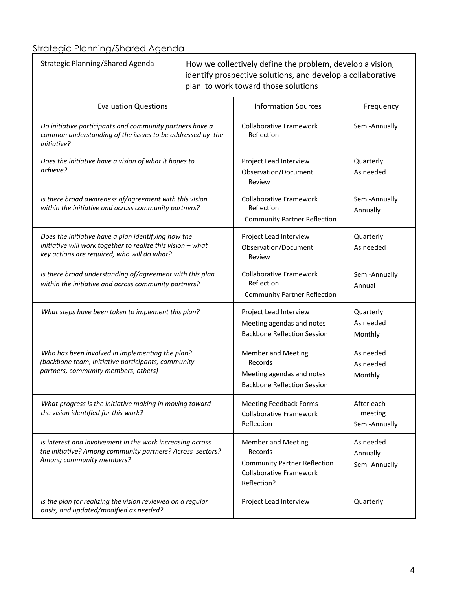Strategic Planning/Shared Agenda

| Strategic Planning/Shared Agenda                                                                                                                                  |  | How we collectively define the problem, develop a vision,<br>identify prospective solutions, and develop a collaborative<br>plan to work toward those solutions |                                        |
|-------------------------------------------------------------------------------------------------------------------------------------------------------------------|--|-----------------------------------------------------------------------------------------------------------------------------------------------------------------|----------------------------------------|
| <b>Evaluation Questions</b>                                                                                                                                       |  | <b>Information Sources</b>                                                                                                                                      | Frequency                              |
| Do initiative participants and community partners have a<br>common understanding of the issues to be addressed by the<br>initiative?                              |  | <b>Collaborative Framework</b><br>Reflection                                                                                                                    | Semi-Annually                          |
| Does the initiative have a vision of what it hopes to<br>achieve?                                                                                                 |  | Project Lead Interview<br>Observation/Document<br>Review                                                                                                        | Quarterly<br>As needed                 |
| Is there broad awareness of/agreement with this vision<br>within the initiative and across community partners?                                                    |  | <b>Collaborative Framework</b><br>Reflection<br><b>Community Partner Reflection</b>                                                                             | Semi-Annually<br>Annually              |
| Does the initiative have a plan identifying how the<br>initiative will work together to realize this vision - what<br>key actions are required, who will do what? |  | Project Lead Interview<br>Observation/Document<br>Review                                                                                                        | Quarterly<br>As needed                 |
| Is there broad understanding of/agreement with this plan<br>within the initiative and across community partners?                                                  |  | <b>Collaborative Framework</b><br>Reflection<br><b>Community Partner Reflection</b>                                                                             | Semi-Annually<br>Annual                |
| What steps have been taken to implement this plan?                                                                                                                |  | Project Lead Interview<br>Meeting agendas and notes<br><b>Backbone Reflection Session</b>                                                                       | Quarterly<br>As needed<br>Monthly      |
| Who has been involved in implementing the plan?<br>(backbone team, initiative participants, community<br>partners, community members, others)                     |  | <b>Member and Meeting</b><br>Records<br>Meeting agendas and notes<br><b>Backbone Reflection Session</b>                                                         | As needed<br>As needed<br>Monthly      |
| What progress is the initiative making in moving toward<br>the vision identified for this work?                                                                   |  | <b>Meeting Feedback Forms</b><br><b>Collaborative Framework</b><br>Reflection                                                                                   | After each<br>meeting<br>Semi-Annually |
| Is interest and involvement in the work increasing across<br>the initiative? Among community partners? Across sectors?<br>Among community members?                |  | <b>Member and Meeting</b><br>Records<br><b>Community Partner Reflection</b><br><b>Collaborative Framework</b><br>Reflection?                                    | As needed<br>Annually<br>Semi-Annually |
| Is the plan for realizing the vision reviewed on a regular<br>basis, and updated/modified as needed?                                                              |  | Project Lead Interview                                                                                                                                          | Quarterly                              |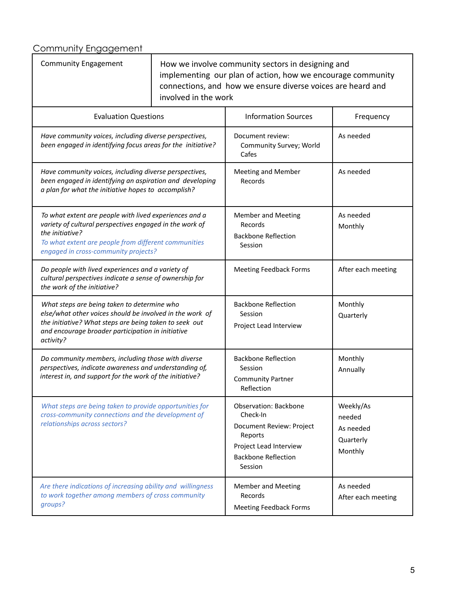# Community Engagement

| <b>Community Engagement</b>                                                                                                                                                                                                          | How we involve community sectors in designing and<br>implementing our plan of action, how we encourage community<br>connections, and how we ensure diverse voices are heard and<br>involved in the work |                                                                                                                                                    |                                                          |
|--------------------------------------------------------------------------------------------------------------------------------------------------------------------------------------------------------------------------------------|---------------------------------------------------------------------------------------------------------------------------------------------------------------------------------------------------------|----------------------------------------------------------------------------------------------------------------------------------------------------|----------------------------------------------------------|
| <b>Evaluation Questions</b>                                                                                                                                                                                                          |                                                                                                                                                                                                         | <b>Information Sources</b>                                                                                                                         | Frequency                                                |
| Have community voices, including diverse perspectives,<br>been engaged in identifying focus areas for the initiative?                                                                                                                |                                                                                                                                                                                                         | Document review:<br>Community Survey; World<br>Cafes                                                                                               | As needed                                                |
| Have community voices, including diverse perspectives,<br>been engaged in identifying an aspiration and developing<br>a plan for what the initiative hopes to accomplish?                                                            |                                                                                                                                                                                                         | <b>Meeting and Member</b><br>Records                                                                                                               | As needed                                                |
| To what extent are people with lived experiences and a<br>variety of cultural perspectives engaged in the work of<br>the initiative?<br>To what extent are people from different communities<br>engaged in cross-community projects? |                                                                                                                                                                                                         | <b>Member and Meeting</b><br>Records<br><b>Backbone Reflection</b><br>Session                                                                      | As needed<br>Monthly                                     |
| Do people with lived experiences and a variety of<br>cultural perspectives indicate a sense of ownership for<br>the work of the initiative?                                                                                          |                                                                                                                                                                                                         | <b>Meeting Feedback Forms</b>                                                                                                                      | After each meeting                                       |
| What steps are being taken to determine who<br>else/what other voices should be involved in the work of<br>the initiative? What steps are being taken to seek out<br>and encourage broader participation in initiative<br>activity?  |                                                                                                                                                                                                         | <b>Backbone Reflection</b><br>Session<br>Project Lead Interview                                                                                    | Monthly<br>Quarterly                                     |
| Do community members, including those with diverse<br>perspectives, indicate awareness and understanding of,<br>interest in, and support for the work of the initiative?                                                             |                                                                                                                                                                                                         | <b>Backbone Reflection</b><br>Session<br><b>Community Partner</b><br>Reflection                                                                    | Monthly<br>Annually                                      |
| What steps are being taken to provide opportunities for<br>cross-community connections and the development of<br>relationships across sectors?                                                                                       |                                                                                                                                                                                                         | <b>Observation: Backbone</b><br>Check-In<br>Document Review: Project<br>Reports<br>Project Lead Interview<br><b>Backbone Reflection</b><br>Session | Weekly/As<br>needed<br>As needed<br>Quarterly<br>Monthly |
| Are there indications of increasing ability and willingness<br>to work together among members of cross community<br>groups?                                                                                                          |                                                                                                                                                                                                         | <b>Member and Meeting</b><br>Records<br><b>Meeting Feedback Forms</b>                                                                              | As needed<br>After each meeting                          |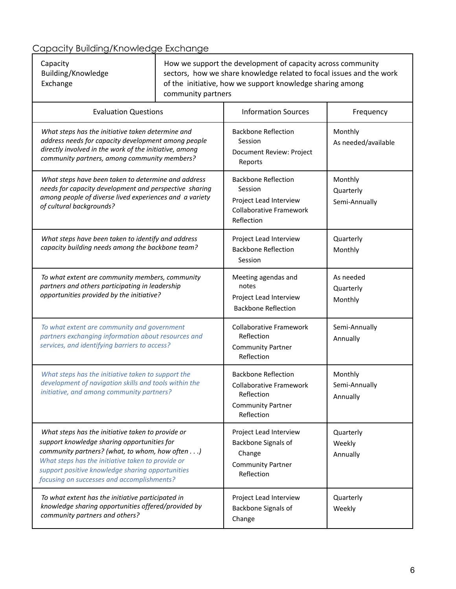# Capacity Building/Knowledge Exchange

| Capacity           | How we support the development of capacity across community          |
|--------------------|----------------------------------------------------------------------|
| Building/Knowledge | sectors, how we share knowledge related to focal issues and the work |
| Exchange           | of the initiative, how we support knowledge sharing among            |
|                    | community partners                                                   |

| <b>Evaluation Questions</b>                                                                                                                                                                                                                                                                               | <b>Information Sources</b>                                                                                           | Frequency                             |
|-----------------------------------------------------------------------------------------------------------------------------------------------------------------------------------------------------------------------------------------------------------------------------------------------------------|----------------------------------------------------------------------------------------------------------------------|---------------------------------------|
| What steps has the initiative taken determine and<br>address needs for capacity development among people<br>directly involved in the work of the initiative, among<br>community partners, among community members?                                                                                        | <b>Backbone Reflection</b><br>Session<br>Document Review: Project<br>Reports                                         | Monthly<br>As needed/available        |
| What steps have been taken to determine and address<br>needs for capacity development and perspective sharing<br>among people of diverse lived experiences and a variety<br>of cultural backgrounds?                                                                                                      | <b>Backbone Reflection</b><br>Session<br>Project Lead Interview<br><b>Collaborative Framework</b><br>Reflection      | Monthly<br>Quarterly<br>Semi-Annually |
| What steps have been taken to identify and address<br>capacity building needs among the backbone team?                                                                                                                                                                                                    | Project Lead Interview<br><b>Backbone Reflection</b><br>Session                                                      | Quarterly<br>Monthly                  |
| To what extent are community members, community<br>partners and others participating in leadership<br>opportunities provided by the initiative?                                                                                                                                                           | Meeting agendas and<br>notes<br>Project Lead Interview<br><b>Backbone Reflection</b>                                 | As needed<br>Quarterly<br>Monthly     |
| To what extent are community and government<br>partners exchanging information about resources and<br>services, and identifying barriers to access?                                                                                                                                                       | <b>Collaborative Framework</b><br>Reflection<br><b>Community Partner</b><br>Reflection                               | Semi-Annually<br>Annually             |
| What steps has the initiative taken to support the<br>development of navigation skills and tools within the<br>initiative, and among community partners?                                                                                                                                                  | <b>Backbone Reflection</b><br><b>Collaborative Framework</b><br>Reflection<br><b>Community Partner</b><br>Reflection | Monthly<br>Semi-Annually<br>Annually  |
| What steps has the initiative taken to provide or<br>support knowledge sharing opportunities for<br>community partners? (what, to whom, how often)<br>What steps has the initiative taken to provide or<br>support positive knowledge sharing opportunities<br>focusing on successes and accomplishments? | Project Lead Interview<br>Backbone Signals of<br>Change<br><b>Community Partner</b><br>Reflection                    | Quarterly<br>Weekly<br>Annually       |
| To what extent has the initiative participated in<br>knowledge sharing opportunities offered/provided by<br>community partners and others?                                                                                                                                                                | Project Lead Interview<br>Backbone Signals of<br>Change                                                              | Quarterly<br>Weekly                   |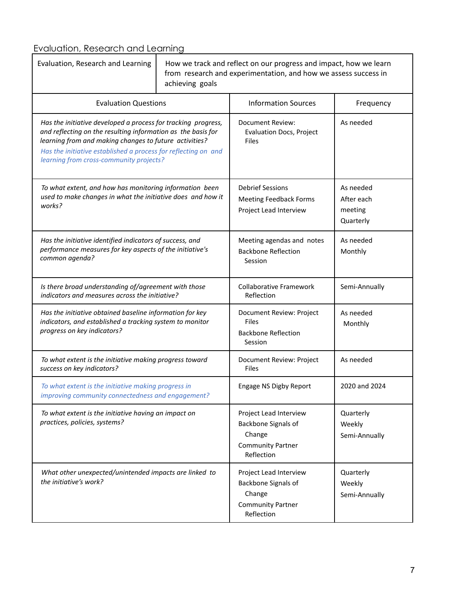# Evaluation, Research and Learning<br>
T

| Evaluation, Research and Learning                                                                                                                                                                                                                                                                    | How we track and reflect on our progress and impact, how we learn<br>from research and experimentation, and how we assess success in<br>achieving goals |                                                                                                   |                                                 |
|------------------------------------------------------------------------------------------------------------------------------------------------------------------------------------------------------------------------------------------------------------------------------------------------------|---------------------------------------------------------------------------------------------------------------------------------------------------------|---------------------------------------------------------------------------------------------------|-------------------------------------------------|
| <b>Evaluation Questions</b>                                                                                                                                                                                                                                                                          |                                                                                                                                                         | <b>Information Sources</b>                                                                        | Frequency                                       |
| Has the initiative developed a process for tracking progress,<br>and reflecting on the resulting information as the basis for<br>learning from and making changes to future activities?<br>Has the initiative established a process for reflecting on and<br>learning from cross-community projects? |                                                                                                                                                         | <b>Document Review:</b><br><b>Evaluation Docs, Project</b><br>Files                               | As needed                                       |
| To what extent, and how has monitoring information been<br>used to make changes in what the initiative does and how it<br>works?                                                                                                                                                                     |                                                                                                                                                         | <b>Debrief Sessions</b><br><b>Meeting Feedback Forms</b><br>Project Lead Interview                | As needed<br>After each<br>meeting<br>Quarterly |
| Has the initiative identified indicators of success, and<br>performance measures for key aspects of the initiative's<br>common agenda?                                                                                                                                                               |                                                                                                                                                         | Meeting agendas and notes<br><b>Backbone Reflection</b><br>Session                                | As needed<br>Monthly                            |
| Is there broad understanding of/agreement with those<br>indicators and measures across the initiative?                                                                                                                                                                                               |                                                                                                                                                         | <b>Collaborative Framework</b><br>Reflection                                                      | Semi-Annually                                   |
| Has the initiative obtained baseline information for key<br>indicators, and established a tracking system to monitor<br>progress on key indicators?                                                                                                                                                  |                                                                                                                                                         | Document Review: Project<br><b>Files</b><br><b>Backbone Reflection</b><br>Session                 | As needed<br>Monthly                            |
| To what extent is the initiative making progress toward<br>success on key indicators?                                                                                                                                                                                                                |                                                                                                                                                         | Document Review: Project<br><b>Files</b>                                                          | As needed                                       |
| To what extent is the initiative making progress in<br>improving community connectedness and engagement?                                                                                                                                                                                             |                                                                                                                                                         | Engage NS Digby Report                                                                            | 2020 and 2024                                   |
| To what extent is the initiative having an impact on<br>practices, policies, systems?                                                                                                                                                                                                                |                                                                                                                                                         | Project Lead Interview<br>Backbone Signals of<br>Change<br><b>Community Partner</b><br>Reflection | Quarterly<br>Weekly<br>Semi-Annually            |
| What other unexpected/unintended impacts are linked to<br>the initiative's work?                                                                                                                                                                                                                     |                                                                                                                                                         | Project Lead Interview<br>Backbone Signals of<br>Change<br><b>Community Partner</b><br>Reflection | Quarterly<br>Weekly<br>Semi-Annually            |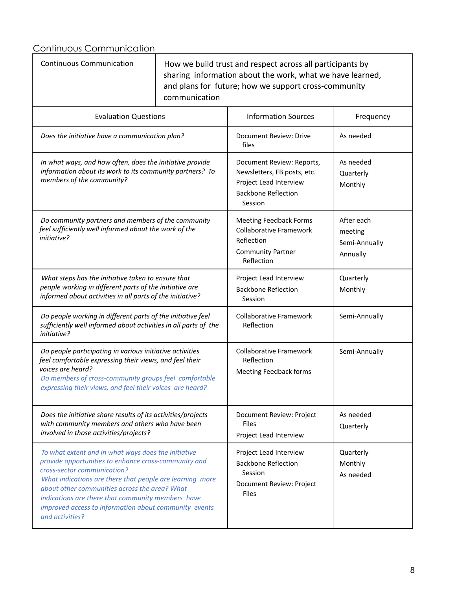Continuous Communication

| <b>Continuous Communication</b>                                                                                                                                                                                                                                                                                                                                                          | communication | How we build trust and respect across all participants by<br>sharing information about the work, what we have learned,<br>and plans for future; how we support cross-community |                                                    |
|------------------------------------------------------------------------------------------------------------------------------------------------------------------------------------------------------------------------------------------------------------------------------------------------------------------------------------------------------------------------------------------|---------------|--------------------------------------------------------------------------------------------------------------------------------------------------------------------------------|----------------------------------------------------|
| <b>Evaluation Questions</b>                                                                                                                                                                                                                                                                                                                                                              |               | <b>Information Sources</b>                                                                                                                                                     | Frequency                                          |
| Does the initiative have a communication plan?                                                                                                                                                                                                                                                                                                                                           |               | Document Review: Drive<br>files                                                                                                                                                | As needed                                          |
| In what ways, and how often, does the initiative provide<br>information about its work to its community partners? To<br>members of the community?                                                                                                                                                                                                                                        |               | Document Review: Reports,<br>Newsletters, FB posts, etc.<br>Project Lead Interview<br><b>Backbone Reflection</b><br>Session                                                    | As needed<br>Quarterly<br>Monthly                  |
| Do community partners and members of the community<br>feel sufficiently well informed about the work of the<br>initiative?                                                                                                                                                                                                                                                               |               | <b>Meeting Feedback Forms</b><br><b>Collaborative Framework</b><br>Reflection<br><b>Community Partner</b><br>Reflection                                                        | After each<br>meeting<br>Semi-Annually<br>Annually |
| What steps has the initiative taken to ensure that<br>people working in different parts of the initiative are<br>informed about activities in all parts of the initiative?                                                                                                                                                                                                               |               | Project Lead Interview<br><b>Backbone Reflection</b><br>Session                                                                                                                | Quarterly<br>Monthly                               |
| Do people working in different parts of the initiative feel<br>sufficiently well informed about activities in all parts of the<br>initiative?                                                                                                                                                                                                                                            |               | <b>Collaborative Framework</b><br>Reflection                                                                                                                                   | Semi-Annually                                      |
| Do people participating in various initiative activities<br>feel comfortable expressing their views, and feel their<br>voices are heard?<br>Do members of cross-community groups feel comfortable<br>expressing their views, and feel their voices are heard?                                                                                                                            |               | <b>Collaborative Framework</b><br>Reflection<br>Meeting Feedback forms                                                                                                         | Semi-Annually                                      |
| Does the initiative share results of its activities/projects<br>with community members and others who have been<br>involved in those activities/projects?                                                                                                                                                                                                                                |               | Document Review: Project<br>Files<br>Project Lead Interview                                                                                                                    | As needed<br>Quarterly                             |
| To what extent and in what ways does the initiative<br>provide opportunities to enhance cross-community and<br>cross-sector communication?<br>What indications are there that people are learning more<br>about other communities across the area? What<br>indications are there that community members have<br>improved access to information about community events<br>and activities? |               | Project Lead Interview<br><b>Backbone Reflection</b><br>Session<br>Document Review: Project<br>Files                                                                           | Quarterly<br>Monthly<br>As needed                  |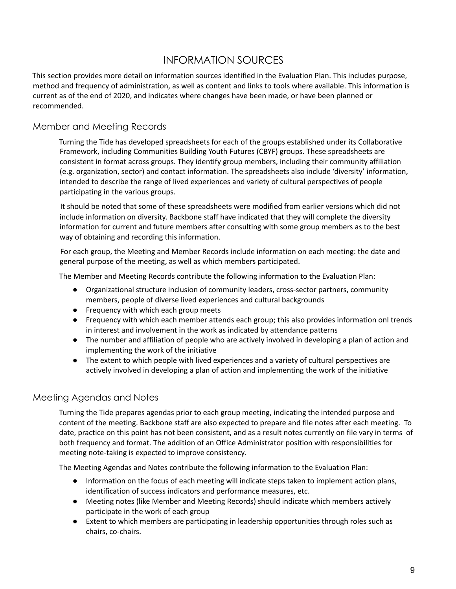# INFORMATION SOURCES

This section provides more detail on information sources identified in the Evaluation Plan. This includes purpose, method and frequency of administration, as well as content and links to tools where available. This information is current as of the end of 2020, and indicates where changes have been made, or have been planned or recommended.

### Member and Meeting Records

Turning the Tide has developed spreadsheets for each of the groups established under its Collaborative Framework, including Communities Building Youth Futures (CBYF) groups. These spreadsheets are consistent in format across groups. They identify group members, including their community affiliation (e.g. organization, sector) and contact information. The spreadsheets also include 'diversity' information, intended to describe the range of lived experiences and variety of cultural perspectives of people participating in the various groups.

It should be noted that some of these spreadsheets were modified from earlier versions which did not include information on diversity. Backbone staff have indicated that they will complete the diversity information for current and future members after consulting with some group members as to the best way of obtaining and recording this information.

For each group, the Meeting and Member Records include information on each meeting: the date and general purpose of the meeting, as well as which members participated.

The Member and Meeting Records contribute the following information to the Evaluation Plan:

- Organizational structure inclusion of community leaders, cross-sector partners, community members, people of diverse lived experiences and cultural backgrounds
- Frequency with which each group meets
- Frequency with which each member attends each group; this also provides information onl trends in interest and involvement in the work as indicated by attendance patterns
- The number and affiliation of people who are actively involved in developing a plan of action and implementing the work of the initiative
- The extent to which people with lived experiences and a variety of cultural perspectives are actively involved in developing a plan of action and implementing the work of the initiative

### Meeting Agendas and Notes

Turning the Tide prepares agendas prior to each group meeting, indicating the intended purpose and content of the meeting. Backbone staff are also expected to prepare and file notes after each meeting. To date, practice on this point has not been consistent, and as a result notes currently on file vary in terms of both frequency and format. The addition of an Office Administrator position with responsibilities for meeting note-taking is expected to improve consistency.

The Meeting Agendas and Notes contribute the following information to the Evaluation Plan:

- Information on the focus of each meeting will indicate steps taken to implement action plans, identification of success indicators and performance measures, etc.
- Meeting notes (like Member and Meeting Records) should indicate which members actively participate in the work of each group
- Extent to which members are participating in leadership opportunities through roles such as chairs, co-chairs.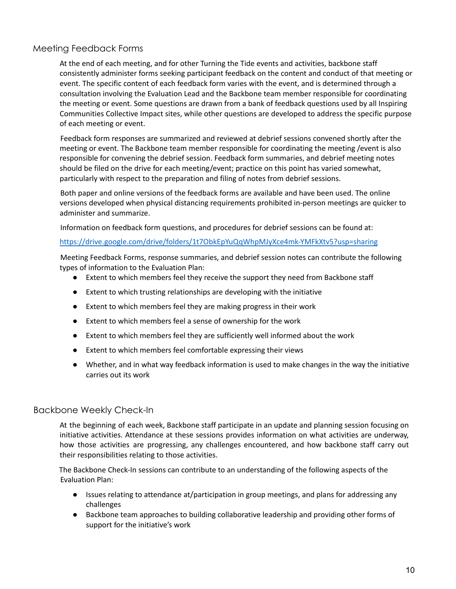# Meeting Feedback Forms

At the end of each meeting, and for other Turning the Tide events and activities, backbone staff consistently administer forms seeking participant feedback on the content and conduct of that meeting or event. The specific content of each feedback form varies with the event, and is determined through a consultation involving the Evaluation Lead and the Backbone team member responsible for coordinating the meeting or event. Some questions are drawn from a bank of feedback questions used by all Inspiring Communities Collective Impact sites, while other questions are developed to address the specific purpose of each meeting or event.

Feedback form responses are summarized and reviewed at debrief sessions convened shortly after the meeting or event. The Backbone team member responsible for coordinating the meeting /event is also responsible for convening the debrief session. Feedback form summaries, and debrief meeting notes should be filed on the drive for each meeting/event; practice on this point has varied somewhat, particularly with respect to the preparation and filing of notes from debrief sessions.

Both paper and online versions of the feedback forms are available and have been used. The online versions developed when physical distancing requirements prohibited in-person meetings are quicker to administer and summarize.

Information on feedback form questions, and procedures for debrief sessions can be found at:

#### https://drive.google.com/drive/folders/1t7ObkEpYuQqWhpMJyXce4mk-YMFkXtv5?usp=sharing

Meeting Feedback Forms, response summaries, and debrief session notes can contribute the following types of information to the Evaluation Plan:

- Extent to which members feel they receive the support they need from Backbone staff
- Extent to which trusting relationships are developing with the initiative
- Extent to which members feel they are making progress in their work
- Extent to which members feel a sense of ownership for the work
- Extent to which members feel they are sufficiently well informed about the work
- Extent to which members feel comfortable expressing their views
- Whether, and in what way feedback information is used to make changes in the way the initiative carries out its work

#### Backbone Weekly Check-In

At the beginning of each week, Backbone staff participate in an update and planning session focusing on initiative activities. Attendance at these sessions provides information on what activities are underway, how those activities are progressing, any challenges encountered, and how backbone staff carry out their responsibilities relating to those activities.

The Backbone Check-In sessions can contribute to an understanding of the following aspects of the Evaluation Plan:

- Issues relating to attendance at/participation in group meetings, and plans for addressing any challenges
- Backbone team approaches to building collaborative leadership and providing other forms of support for the initiative's work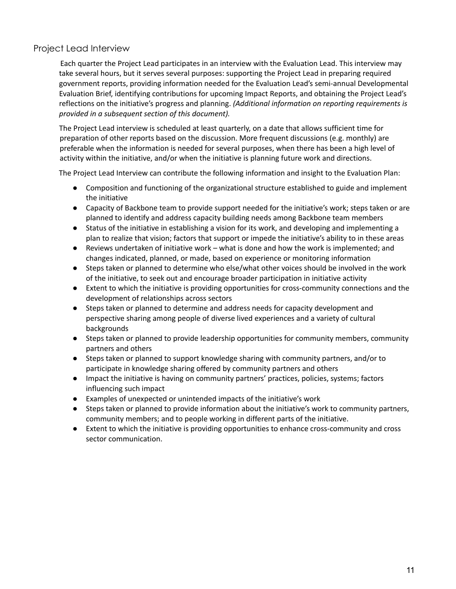# Project Lead Interview

Each quarter the Project Lead participates in an interview with the Evaluation Lead. This interview may take several hours, but it serves several purposes: supporting the Project Lead in preparing required government reports, providing information needed for the Evaluation Lead's semi-annual Developmental Evaluation Brief, identifying contributions for upcoming Impact Reports, and obtaining the Project Lead's reflections on the initiative's progress and planning. *(Additional information on reporting requirements is provided in a subsequent section of this document).*

The Project Lead interview is scheduled at least quarterly, on a date that allows sufficient time for preparation of other reports based on the discussion. More frequent discussions (e.g. monthly) are preferable when the information is needed for several purposes, when there has been a high level of activity within the initiative, and/or when the initiative is planning future work and directions.

The Project Lead Interview can contribute the following information and insight to the Evaluation Plan:

- Composition and functioning of the organizational structure established to guide and implement the initiative
- Capacity of Backbone team to provide support needed for the initiative's work; steps taken or are planned to identify and address capacity building needs among Backbone team members
- Status of the initiative in establishing a vision for its work, and developing and implementing a plan to realize that vision; factors that support or impede the initiative's ability to in these areas
- Reviews undertaken of initiative work what is done and how the work is implemented; and changes indicated, planned, or made, based on experience or monitoring information
- Steps taken or planned to determine who else/what other voices should be involved in the work of the initiative, to seek out and encourage broader participation in initiative activity
- Extent to which the initiative is providing opportunities for cross-community connections and the development of relationships across sectors
- Steps taken or planned to determine and address needs for capacity development and perspective sharing among people of diverse lived experiences and a variety of cultural backgrounds
- Steps taken or planned to provide leadership opportunities for community members, community partners and others
- Steps taken or planned to support knowledge sharing with community partners, and/or to participate in knowledge sharing offered by community partners and others
- Impact the initiative is having on community partners' practices, policies, systems; factors influencing such impact
- Examples of unexpected or unintended impacts of the initiative's work
- Steps taken or planned to provide information about the initiative's work to community partners, community members; and to people working in different parts of the initiative.
- Extent to which the initiative is providing opportunities to enhance cross-community and cross sector communication.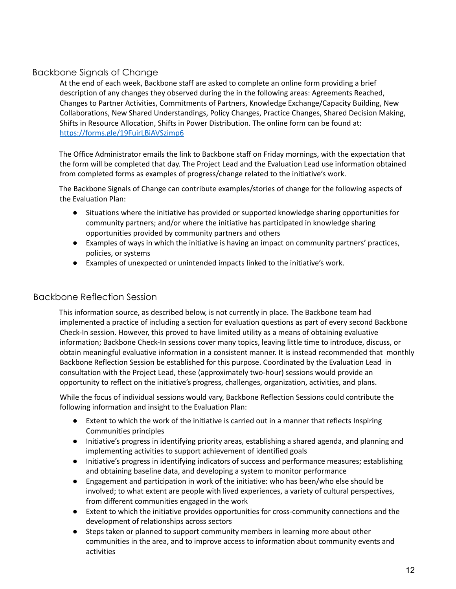# Backbone Signals of Change

At the end of each week, Backbone staff are asked to complete an online form providing a brief description of any changes they observed during the in the following areas: Agreements Reached, Changes to Partner Activities, Commitments of Partners, Knowledge Exchange/Capacity Building, New Collaborations, New Shared Understandings, Policy Changes, Practice Changes, Shared Decision Making, Shifts in Resource Allocation, Shifts in Power Distribution. The online form can be found at: https://forms.gle/19FuirLBiAVSzimp6

The Office Administrator emails the link to Backbone staff on Friday mornings, with the expectation that the form will be completed that day. The Project Lead and the Evaluation Lead use information obtained from completed forms as examples of progress/change related to the initiative's work.

The Backbone Signals of Change can contribute examples/stories of change for the following aspects of the Evaluation Plan:

- Situations where the initiative has provided or supported knowledge sharing opportunities for community partners; and/or where the initiative has participated in knowledge sharing opportunities provided by community partners and others
- Examples of ways in which the initiative is having an impact on community partners' practices, policies, or systems
- Examples of unexpected or unintended impacts linked to the initiative's work.

#### Backbone Reflection Session

This information source, as described below, is not currently in place. The Backbone team had implemented a practice of including a section for evaluation questions as part of every second Backbone Check-In session. However, this proved to have limited utility as a means of obtaining evaluative information; Backbone Check-In sessions cover many topics, leaving little time to introduce, discuss, or obtain meaningful evaluative information in a consistent manner. It is instead recommended that monthly Backbone Reflection Session be established for this purpose. Coordinated by the Evaluation Lead in consultation with the Project Lead, these (approximately two-hour) sessions would provide an opportunity to reflect on the initiative's progress, challenges, organization, activities, and plans.

While the focus of individual sessions would vary, Backbone Reflection Sessions could contribute the following information and insight to the Evaluation Plan:

- Extent to which the work of the initiative is carried out in a manner that reflects Inspiring Communities principles
- Initiative's progress in identifying priority areas, establishing a shared agenda, and planning and implementing activities to support achievement of identified goals
- Initiative's progress in identifying indicators of success and performance measures; establishing and obtaining baseline data, and developing a system to monitor performance
- Engagement and participation in work of the initiative: who has been/who else should be involved; to what extent are people with lived experiences, a variety of cultural perspectives, from different communities engaged in the work
- Extent to which the initiative provides opportunities for cross-community connections and the development of relationships across sectors
- Steps taken or planned to support community members in learning more about other communities in the area, and to improve access to information about community events and activities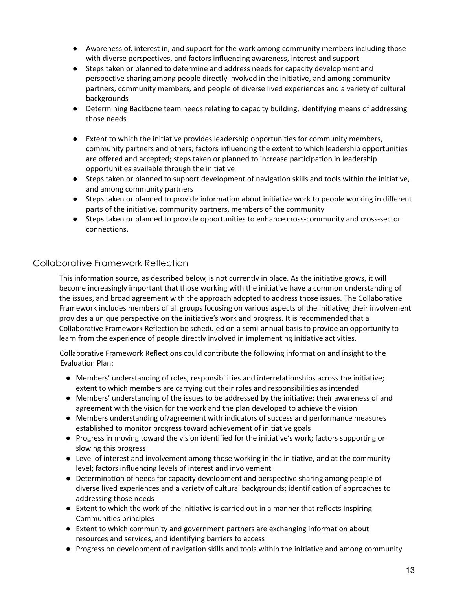- Awareness of, interest in, and support for the work among community members including those with diverse perspectives, and factors influencing awareness, interest and support
- Steps taken or planned to determine and address needs for capacity development and perspective sharing among people directly involved in the initiative, and among community partners, community members, and people of diverse lived experiences and a variety of cultural backgrounds
- Determining Backbone team needs relating to capacity building, identifying means of addressing those needs
- Extent to which the initiative provides leadership opportunities for community members, community partners and others; factors influencing the extent to which leadership opportunities are offered and accepted; steps taken or planned to increase participation in leadership opportunities available through the initiative
- Steps taken or planned to support development of navigation skills and tools within the initiative, and among community partners
- Steps taken or planned to provide information about initiative work to people working in different parts of the initiative, community partners, members of the community
- Steps taken or planned to provide opportunities to enhance cross-community and cross-sector connections.

### Collaborative Framework Reflection

This information source, as described below, is not currently in place. As the initiative grows, it will become increasingly important that those working with the initiative have a common understanding of the issues, and broad agreement with the approach adopted to address those issues. The Collaborative Framework includes members of all groups focusing on various aspects of the initiative; their involvement provides a unique perspective on the initiative's work and progress. It is recommended that a Collaborative Framework Reflection be scheduled on a semi-annual basis to provide an opportunity to learn from the experience of people directly involved in implementing initiative activities.

Collaborative Framework Reflections could contribute the following information and insight to the Evaluation Plan:

- Members' understanding of roles, responsibilities and interrelationships across the initiative; extent to which members are carrying out their roles and responsibilities as intended
- Members' understanding of the issues to be addressed by the initiative; their awareness of and agreement with the vision for the work and the plan developed to achieve the vision
- Members understanding of/agreement with indicators of success and performance measures established to monitor progress toward achievement of initiative goals
- Progress in moving toward the vision identified for the initiative's work; factors supporting or slowing this progress
- Level of interest and involvement among those working in the initiative, and at the community level; factors influencing levels of interest and involvement
- Determination of needs for capacity development and perspective sharing among people of diverse lived experiences and a variety of cultural backgrounds; identification of approaches to addressing those needs
- Extent to which the work of the initiative is carried out in a manner that reflects Inspiring Communities principles
- Extent to which community and government partners are exchanging information about resources and services, and identifying barriers to access
- Progress on development of navigation skills and tools within the initiative and among community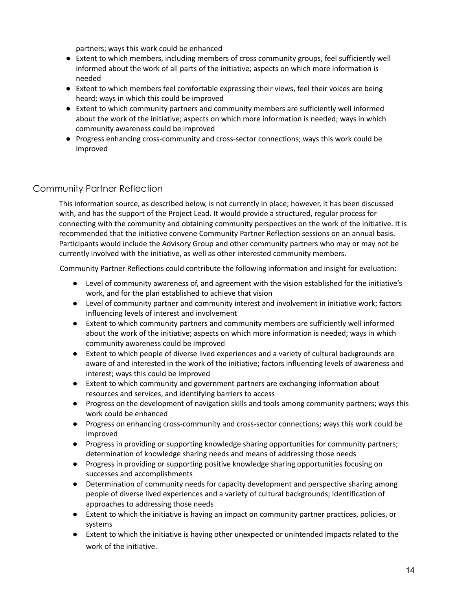partners; ways this work could be enhanced

- Extent to which members, including members of cross community groups, feel sufficiently well informed about the work of all parts of the initiative; aspects on which more information is needed
- Extent to which members feel comfortable expressing their views, feel their voices are being heard; ways in which this could be improved
- Extent to which community partners and community members are sufficiently well informed about the work of the initiative; aspects on which more information is needed; ways in which community awareness could be improved
- Progress enhancing cross-community and cross-sector connections; ways this work could be improved

### Community Partner Reflection

This information source, as described below, is not currently in place; however, it has been discussed with, and has the support of the Project Lead. It would provide a structured, regular process for connecting with the community and obtaining community perspectives on the work of the initiative. It is recommended that the initiative convene Community Partner Reflection sessions on an annual basis. Participants would include the Advisory Group and other community partners who may or may not be currently involved with the initiative, as well as other interested community members.

Community Partner Reflections could contribute the following information and insight for evaluation:

- Level of community awareness of, and agreement with the vision established for the initiative's work, and for the plan established to achieve that vision
- Level of community partner and community interest and involvement in initiative work; factors influencing levels of interest and involvement
- Extent to which community partners and community members are sufficiently well informed about the work of the initiative; aspects on which more information is needed; ways in which community awareness could be improved
- Extent to which people of diverse lived experiences and a variety of cultural backgrounds are aware of and interested in the work of the initiative; factors influencing levels of awareness and interest; ways this could be improved
- Extent to which community and government partners are exchanging information about resources and services, and identifying barriers to access
- Progress on the development of navigation skills and tools among community partners; ways this work could be enhanced
- Progress on enhancing cross-community and cross-sector connections; ways this work could be improved
- Progress in providing or supporting knowledge sharing opportunities for community partners; determination of knowledge sharing needs and means of addressing those needs
- Progress in providing or supporting positive knowledge sharing opportunities focusing on successes and accomplishments
- Determination of community needs for capacity development and perspective sharing among people of diverse lived experiences and a variety of cultural backgrounds; identification of approaches to addressing those needs
- Extent to which the initiative is having an impact on community partner practices, policies, or systems
- Extent to which the initiative is having other unexpected or unintended impacts related to the work of the initiative.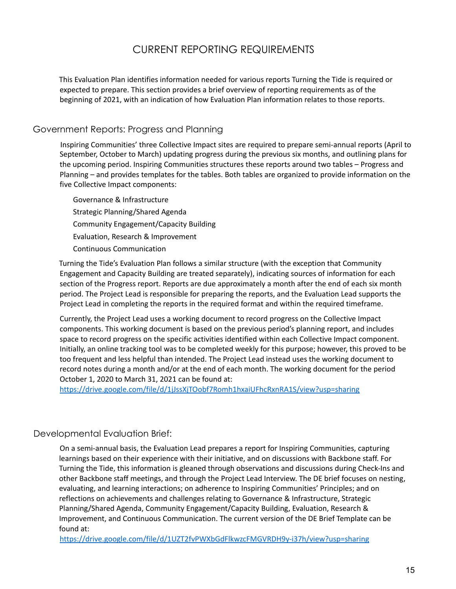# CURRENT REPORTING REQUIREMENTS

This Evaluation Plan identifies information needed for various reports Turning the Tide is required or expected to prepare. This section provides a brief overview of reporting requirements as of the beginning of 2021, with an indication of how Evaluation Plan information relates to those reports.

### Government Reports: Progress and Planning

Inspiring Communities' three Collective Impact sites are required to prepare semi-annual reports (April to September, October to March) updating progress during the previous six months, and outlining plans for the upcoming period. Inspiring Communities structures these reports around two tables – Progress and Planning – and provides templates for the tables. Both tables are organized to provide information on the five Collective Impact components:

Governance & Infrastructure Strategic Planning/Shared Agenda Community Engagement/Capacity Building Evaluation, Research & Improvement Continuous Communication

Turning the Tide's Evaluation Plan follows a similar structure (with the exception that Community Engagement and Capacity Building are treated separately), indicating sources of information for each section of the Progress report. Reports are due approximately a month after the end of each six month period. The Project Lead is responsible for preparing the reports, and the Evaluation Lead supports the Project Lead in completing the reports in the required format and within the required timeframe.

Currently, the Project Lead uses a working document to record progress on the Collective Impact components. This working document is based on the previous period's planning report, and includes space to record progress on the specific activities identified within each Collective Impact component. Initially, an online tracking tool was to be completed weekly for this purpose; however, this proved to be too frequent and less helpful than intended. The Project Lead instead uses the working document to record notes during a month and/or at the end of each month. The working document for the period October 1, 2020 to March 31, 2021 can be found at:

https://drive.google.com/file/d/1jJssXjTOobf7Romh1hxaiUFhcRxnRA1S/view?usp=sharing

#### Developmental Evaluation Brief:

On a semi-annual basis, the Evaluation Lead prepares a report for Inspiring Communities, capturing learnings based on their experience with their initiative, and on discussions with Backbone staff. For Turning the Tide, this information is gleaned through observations and discussions during Check-Ins and other Backbone staff meetings, and through the Project Lead Interview. The DE brief focuses on nesting, evaluating, and learning interactions; on adherence to Inspiring Communities' Principles; and on reflections on achievements and challenges relating to Governance & Infrastructure, Strategic Planning/Shared Agenda, Community Engagement/Capacity Building, Evaluation, Research & Improvement, and Continuous Communication. The current version of the DE Brief Template can be found at:

https://drive.google.com/file/d/1UZT2fvPWXbGdFlkwzcFMGVRDH9y-i37h/view?usp=sharing